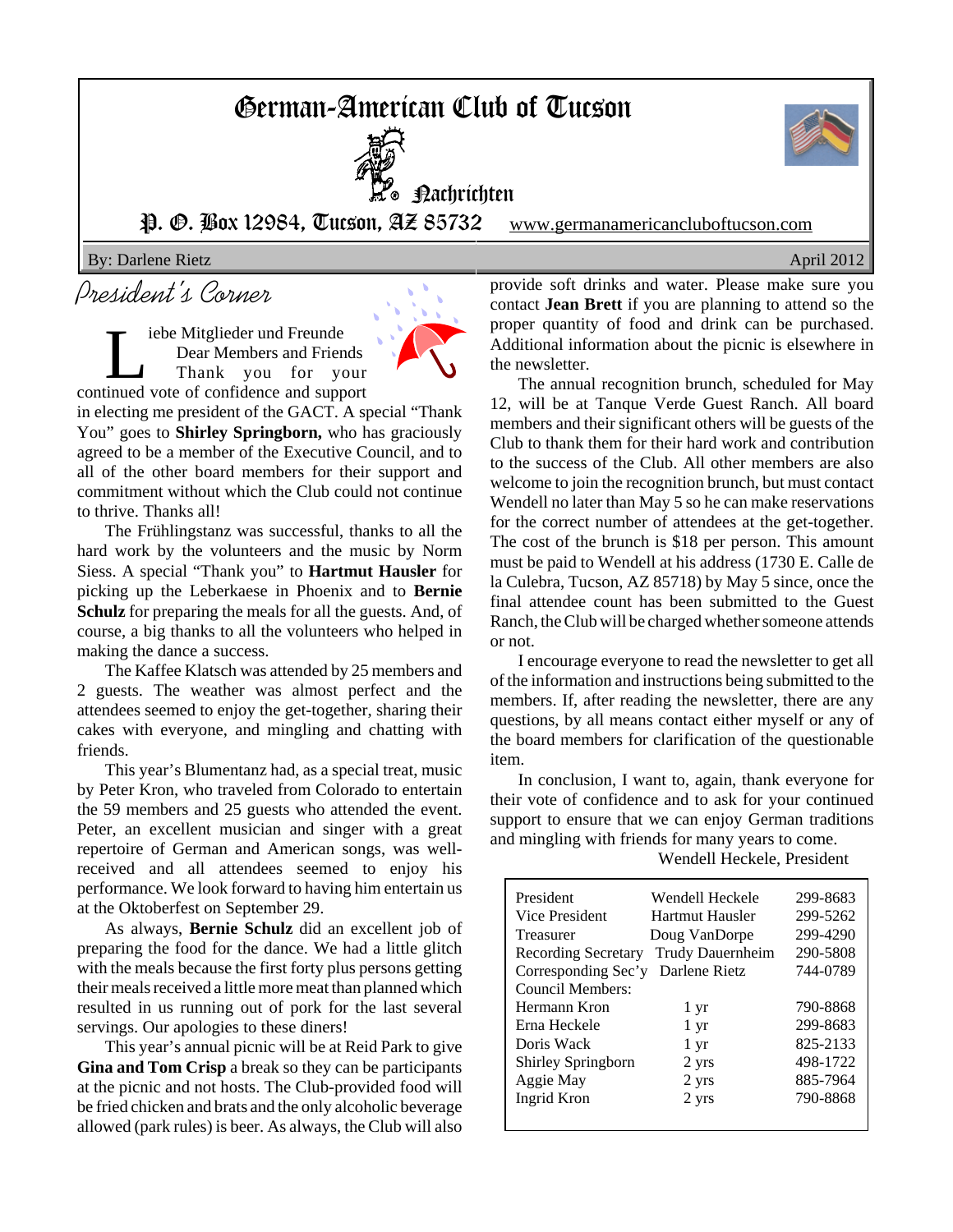# German-American Club of Tucson



Nachrichten

P. O. Box 12984, Tucson, AZ 85732 www.germanamericancluboftucson.com

By: Darlene Rietz **April 2012** 

# President's Corner

iebe Mitglieder und Freunde Dear Members and Friends Thank you for your continued vote of confidence and support



in electing me president of the GACT. A special "Thank You" goes to **Shirley Springborn,** who has graciously agreed to be a member of the Executive Council, and to all of the other board members for their support and commitment without which the Club could not continue to thrive. Thanks all!

The Frühlingstanz was successful, thanks to all the hard work by the volunteers and the music by Norm Siess. A special "Thank you" to **Hartmut Hausler** for picking up the Leberkaese in Phoenix and to **Bernie Schulz** for preparing the meals for all the guests. And, of course, a big thanks to all the volunteers who helped in making the dance a success.

The Kaffee Klatsch was attended by 25 members and 2 guests. The weather was almost perfect and the attendees seemed to enjoy the get-together, sharing their cakes with everyone, and mingling and chatting with friends.

This year's Blumentanz had, as a special treat, music by Peter Kron, who traveled from Colorado to entertain the 59 members and 25 guests who attended the event. Peter, an excellent musician and singer with a great repertoire of German and American songs, was wellreceived and all attendees seemed to enjoy his performance. We look forward to having him entertain us at the Oktoberfest on September 29.

As always, **Bernie Schulz** did an excellent job of preparing the food for the dance. We had a little glitch with the meals because the first forty plus persons getting their meals received a little more meat than planned which resulted in us running out of pork for the last several servings. Our apologies to these diners!

This year's annual picnic will be at Reid Park to give **Gina and Tom Crisp** a break so they can be participants at the picnic and not hosts. The Club-provided food will be fried chicken and brats and the only alcoholic beverage allowed (park rules) is beer. As always, the Club will also provide soft drinks and water. Please make sure you contact **Jean Brett** if you are planning to attend so the proper quantity of food and drink can be purchased. Additional information about the picnic is elsewhere in the newsletter.

The annual recognition brunch, scheduled for May 12, will be at Tanque Verde Guest Ranch. All board members and their significant others will be guests of the Club to thank them for their hard work and contribution to the success of the Club. All other members are also welcome to join the recognition brunch, but must contact Wendell no later than May 5 so he can make reservations for the correct number of attendees at the get-together. The cost of the brunch is \$18 per person. This amount must be paid to Wendell at his address (1730 E. Calle de la Culebra, Tucson, AZ 85718) by May 5 since, once the final attendee count has been submitted to the Guest Ranch, the Club will be charged whether someone attends or not.

I encourage everyone to read the newsletter to get all of the information and instructions being submitted to the members. If, after reading the newsletter, there are any questions, by all means contact either myself or any of the board members for clarification of the questionable item.

In conclusion, I want to, again, thank everyone for their vote of confidence and to ask for your continued support to ensure that we can enjoy German traditions and mingling with friends for many years to come.

Wendell Heckele, President

| President           | Wendell Heckele  | 299-8683 |
|---------------------|------------------|----------|
|                     |                  |          |
| Vice President      | Hartmut Hausler  | 299-5262 |
| Treasurer           | Doug VanDorpe    | 299-4290 |
| Recording Secretary | Trudy Dauernheim | 290-5808 |
| Corresponding Sec'y | Darlene Rietz    | 744-0789 |
| Council Members:    |                  |          |
| Hermann Kron        | 1 yr             | 790-8868 |
| Erna Heckele        | 1 yr             | 299-8683 |
| Doris Wack          | 1 yr             | 825-2133 |
| Shirley Springborn  | 2 yrs            | 498-1722 |
| Aggie May           | 2 yrs            | 885-7964 |
| Ingrid Kron         | 2 yrs            | 790-8868 |
|                     |                  |          |

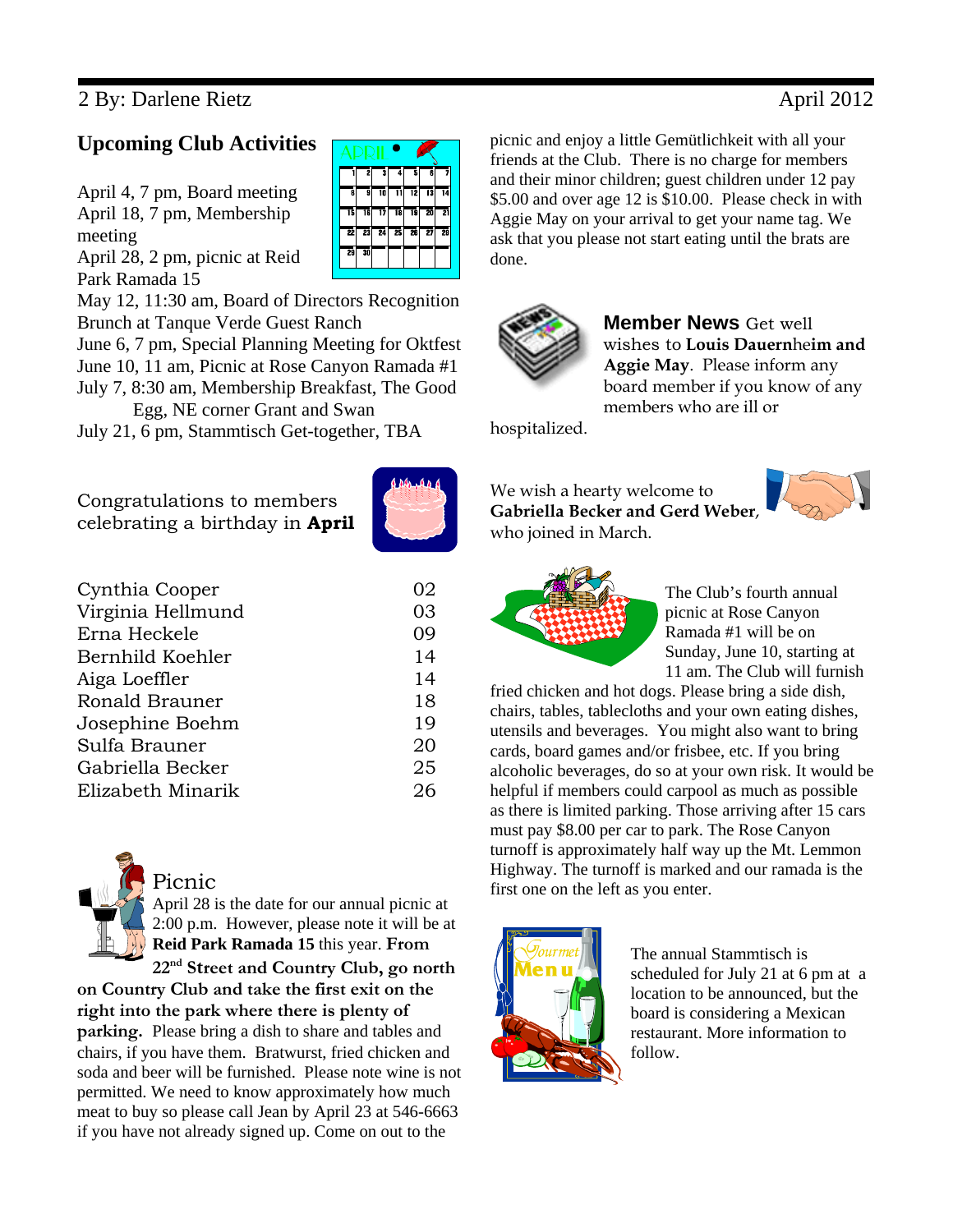# 2 By: Darlene Rietz April 2012

## **Upcoming Club Activities**

April 4, 7 pm, Board meeting April 18, 7 pm, Membership meeting April 28, 2 pm, picnic at Reid

Park Ramada 15

|    | 2  | 3  | 74 | 5  | Ğ  | 7  |  |
|----|----|----|----|----|----|----|--|
| ē  | ā  | 10 |    | 12 | 13 | 14 |  |
| 15 | 16 | 17 | 18 | 19 | 20 | 21 |  |
| 22 | 23 | 24 | 25 | 26 | 27 | 28 |  |
| 29 | 30 |    |    |    |    |    |  |
|    |    |    |    |    |    |    |  |

May 12, 11:30 am, Board of Directors Recognition Brunch at Tanque Verde Guest Ranch

June 6, 7 pm, Special Planning Meeting for Oktfest June 10, 11 am, Picnic at Rose Canyon Ramada #1 July 7, 8:30 am, Membership Breakfast, The Good Egg, NE corner Grant and Swan

July 21, 6 pm, Stammtisch Get-together, TBA

Congratulations to members celebrating a birthday in **April**

| 1 Den 1 A.D. |  |
|--------------|--|
|              |  |
|              |  |
|              |  |

| Cynthia Cooper    | 02 |
|-------------------|----|
| Virginia Hellmund | 03 |
| Erna Heckele      | 09 |
| Bernhild Koehler  | 14 |
| Aiga Loeffler     | 14 |
| Ronald Brauner    | 18 |
| Josephine Boehm   | 19 |
| Sulfa Brauner     | 20 |
| Gabriella Becker  | 25 |
| Elizabeth Minarik | 26 |
|                   |    |



**on Country Club and take the first exit on the right into the park where there is plenty of parking.** Please bring a dish to share and tables and chairs, if you have them. Bratwurst, fried chicken and soda and beer will be furnished. Please note wine is not permitted. We need to know approximately how much meat to buy so please call Jean by April 23 at 546-6663 if you have not already signed up. Come on out to the

picnic and enjoy a little Gemütlichkeit with all your friends at the Club. There is no charge for members and their minor children; guest children under 12 pay \$5.00 and over age 12 is \$10.00. Please check in with Aggie May on your arrival to get your name tag. We ask that you please not start eating until the brats are done.



**Member News** Get well wishes to **Louis Dauern**he**im and Aggie May**. Please inform any board member if you know of any members who are ill or

hospitalized.

### We wish a hearty welcome to **Gabriella Becker and Gerd Weber**, who joined in March.





The Club's fourth annual picnic at Rose Canyon Ramada #1 will be on Sunday, June 10, starting at 11 am. The Club will furnish

fried chicken and hot dogs. Please bring a side dish, chairs, tables, tablecloths and your own eating dishes, utensils and beverages. You might also want to bring cards, board games and/or frisbee, etc. If you bring alcoholic beverages, do so at your own risk. It would be helpful if members could carpool as much as possible as there is limited parking. Those arriving after 15 cars must pay \$8.00 per car to park. The Rose Canyon turnoff is approximately half way up the Mt. Lemmon Highway. The turnoff is marked and our ramada is the first one on the left as you enter.



The annual Stammtisch is scheduled for July 21 at 6 pm at a location to be announced, but the board is considering a Mexican restaurant. More information to follow.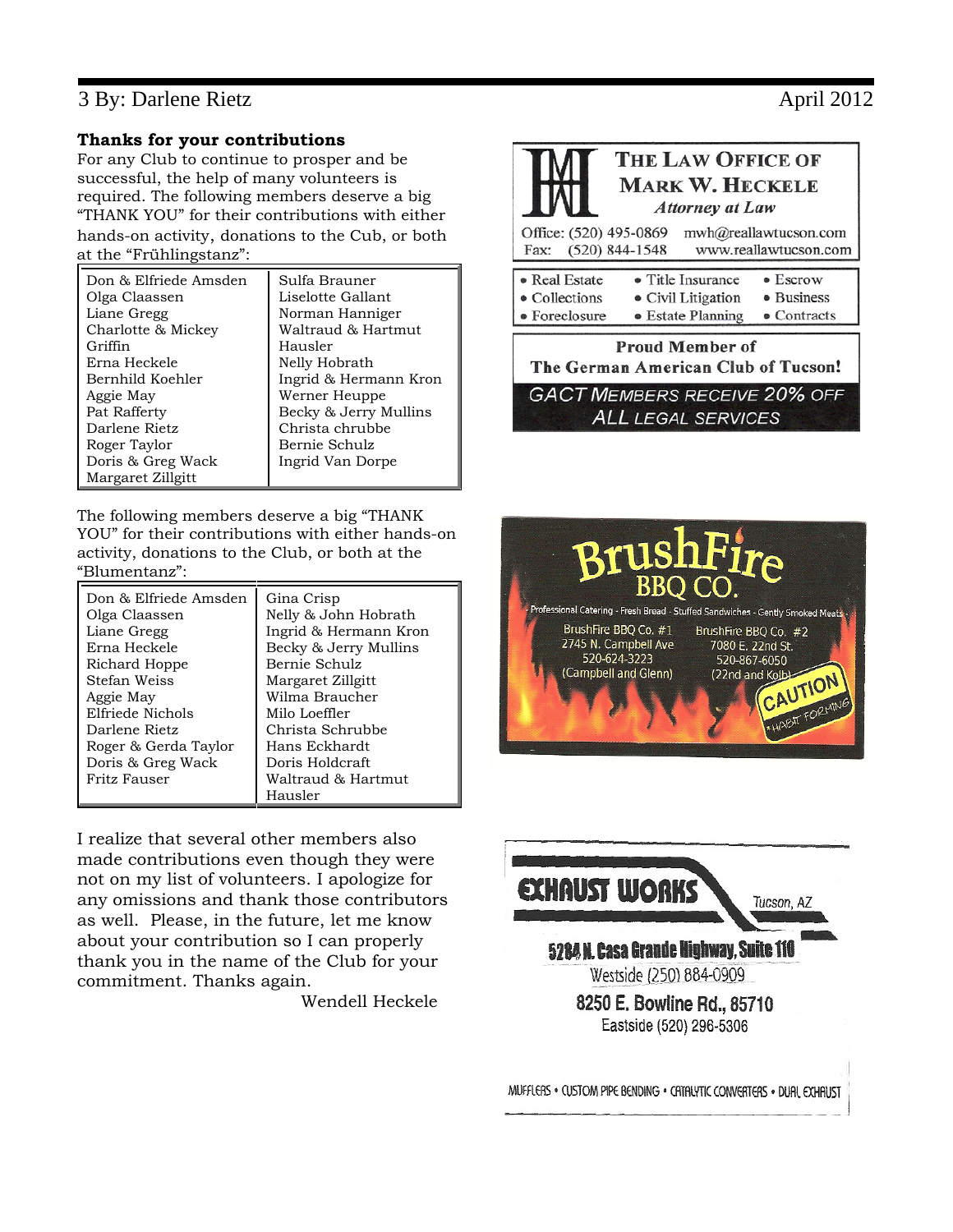## 3 By: Darlene Rietz April 2012

### **Thanks for your contributions**

For any Club to continue to prosper and be successful, the help of many volunteers is required. The following members deserve a big "THANK YOU" for their contributions with either hands-on activity, donations to the Cub, or both at the "Frühlingstanz":

| Don & Elfriede Amsden | Sulfa Brauner         |
|-----------------------|-----------------------|
| Olga Claassen         | Liselotte Gallant     |
| Liane Gregg           | Norman Hanniger       |
| Charlotte & Mickey    | Waltraud & Hartmut    |
| Griffin               | Hausler               |
| Erna Heckele          | Nelly Hobrath         |
| Bernhild Koehler      | Ingrid & Hermann Kron |
| Aggie May             | Werner Heuppe         |
| Pat Rafferty          | Becky & Jerry Mullins |
| Darlene Rietz         | Christa chrubbe       |
| Roger Taylor          | Bernie Schulz         |
| Doris & Greg Wack     | Ingrid Van Dorpe      |
| Margaret Zillgitt     |                       |

The following members deserve a big "THANK YOU" for their contributions with either hands-on activity, donations to the Club, or both at the "Blumentanz":

| Don & Elfriede Amsden | Gina Crisp            |
|-----------------------|-----------------------|
| Olga Claassen         | Nelly & John Hobrath  |
| Liane Gregg           | Ingrid & Hermann Kron |
| Erna Heckele          | Becky & Jerry Mullins |
| Richard Hoppe         | Bernie Schulz         |
| Stefan Weiss          | Margaret Zillgitt     |
| Aggie May             | Wilma Braucher        |
| Elfriede Nichols      | Milo Loeffler         |
| Darlene Rietz         | Christa Schrubbe      |
| Roger & Gerda Taylor  | Hans Eckhardt         |
| Doris & Greg Wack     | Doris Holdcraft       |
| Fritz Fauser          | Waltraud & Hartmut    |
|                       | Hausler               |

I realize that several other members also made contributions even though they were not on my list of volunteers. I apologize for any omissions and thank those contributors as well. Please, in the future, let me know about your contribution so I can properly thank you in the name of the Club for your commitment. Thanks again.

Wendell Heckele







MUFFLERS . CUSTOM PIPE BENDING . CATALYTIC CONVERTERS . DUAL EXHAUST